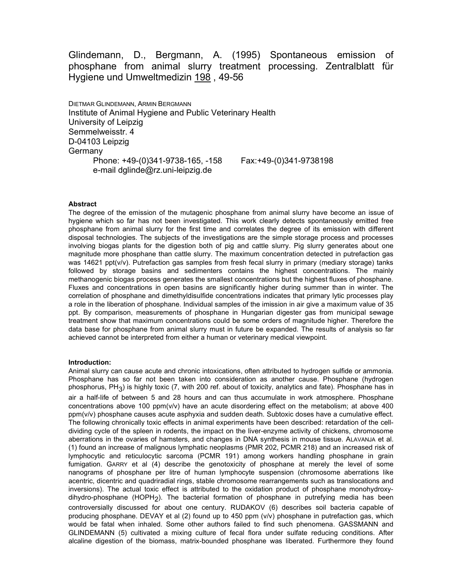Glindemann, D., Bergmann, A. (1995) Spontaneous emission of phosphane from animal slurry treatment processing. Zentralblatt für Hygiene und Umweltmedizin 198 , 49-56

DIETMAR GLINDEMANN, ARMIN BERGMANN Institute of Animal Hygiene and Public Veterinary Health University of Leipzig Semmelweisstr. 4 D-04103 Leipzig Germany Phone: +49-(0)341-9738-165, -158 Fax:+49-(0)341-9738198 e-mail dglinde@rz.uni-leipzig.de

#### Abstract

The degree of the emission of the mutagenic phosphane from animal slurry have become an issue of hygiene which so far has not been investigated. This work clearly detects spontaneously emitted free phosphane from animal slurry for the first time and correlates the degree of its emission with different disposal technologies. The subjects of the investigations are the simple storage process and processes involving biogas plants for the digestion both of pig and cattle slurry. Pig slurry generates about one magnitude more phosphane than cattle slurry. The maximum concentration detected in putrefaction gas was 14621 ppt(v/v). Putrefaction gas samples from fresh fecal slurry in primary (mediary storage) tanks followed by storage basins and sedimenters contains the highest concentrations. The mainly methanogenic biogas process generates the smallest concentrations but the highest fluxes of phosphane. Fluxes and concentrations in open basins are significantly higher during summer than in winter. The correlation of phosphane and dimethyldisulfide concentrations indicates that primary lytic processes play a role in the liberation of phosphane. Individual samples of the imission in air give a maximum value of 35 ppt. By comparison, measurements of phosphane in Hungarian digester gas from municipal sewage treatment show that maximum concentrations could be some orders of magnitude higher. Therefore the data base for phosphane from animal slurry must in future be expanded. The results of analysis so far achieved cannot be interpreted from either a human or veterinary medical viewpoint.

#### Introduction:

Animal slurry can cause acute and chronic intoxications, often attributed to hydrogen sulfide or ammonia. Phosphane has so far not been taken into consideration as another cause. Phosphane (hydrogen phosphorus, PH<sub>3</sub>) is highly toxic (7, with 200 ref. about of toxicity, analytics and fate). Phosphane has in air a half-life of between 5 and 28 hours and can thus accumulate in work atmosphere. Phosphane concentrations above 100 ppm(v/v) have an acute disordering effect on the metabolism; at above 400 ppm(v/v) phosphane causes acute asphyxia and sudden death. Subtoxic doses have a cumulative effect. The following chronically toxic effects in animal experiments have been described: retardation of the celldividing cycle of the spleen in rodents, the impact on the liver-enzyme activity of chickens, chromosome aberrations in the ovaries of hamsters, and changes in DNA synthesis in mouse tissue. ALAVANJA et al. (1) found an increase of malignous lymphatic neoplasms (PMR 202, PCMR 218) and an increased risk of lymphocytic and reticulocytic sarcoma (PCMR 191) among workers handling phosphane in grain fumigation. GARRY et al (4) describe the genotoxicity of phosphane at merely the level of some nanograms of phosphane per litre of human lymphocyte suspension (chromosome aberrations like acentric, dicentric and quadriradial rings, stable chromosome rearrangements such as translocations and inversions). The actual toxic effect is attributed to the oxidation product of phosphane monohydroxydihydro-phosphane (HOPH<sub>2</sub>). The bacterial formation of phosphane in putrefying media has been controversially discussed for about one century. RUDAKOV (6) describes soil bacteria capable of producing phosphane. DEVAY et al (2) found up to 450 ppm (v/v) phosphane in putrefaction gas, which would be fatal when inhaled. Some other authors failed to find such phenomena. GASSMANN and GLINDEMANN (5) cultivated a mixing culture of fecal flora under sulfate reducing conditions. After alcaline digestion of the biomass, matrix-bounded phosphane was liberated. Furthermore they found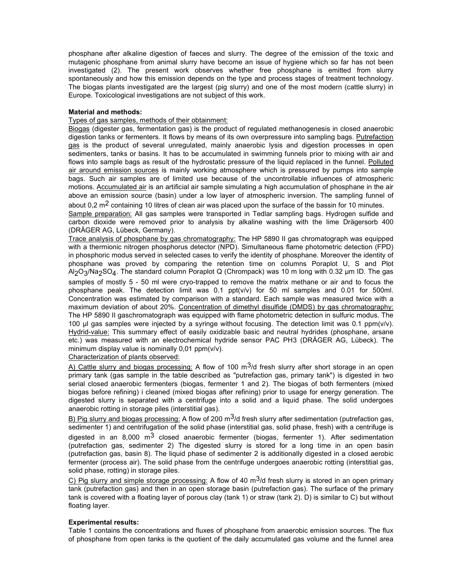phosphane after alkaline digestion of faeces and slurry. The degree of the emission of the toxic and mutagenic phosphane from animal slurry have become an issue of hygiene which so far has not been investigated (2). The present work observes whether free phosphane is emitted from slurry spontaneously and how this emission depends on the type and process stages of treatment technology. The biogas plants investigated are the largest (pig slurry) and one of the most modern (cattle slurry) in Europe. Toxicological investigations are not subject of this work.

### Material and methods:

### Types of gas samples, methods of their obtainment:

Biogas (digester gas, fermentation gas) is the product of regulated methanogenesis in closed anaerobic digestion tanks or fermenters. It flows by means of its own overpressure into sampling bags. Putrefaction gas is the product of several unregulated, mainly anaerobic lysis and digestion processes in open sedimenters, tanks or basins. It has to be accumulated in swimming funnels prior to mixing with air and flows into sample bags as result of the hydrostatic pressure of the liquid replaced in the funnel. Polluted air around emission sources is mainly working atmosphere which is pressured by pumps into sample bags. Such air samples are of limited use because of the uncontrollable influences of atmospheric motions. Accumulated air is an artificial air sample simulating a high accumulation of phosphane in the air above an emission source (basin) under a low layer of atmospheric inversion. The sampling funnel of

about 0.2  $\text{m}^2$  containing 10 litres of clean air was placed upon the surface of the bassin for 10 minutes. Sample preparation: All gas samples were transported in Tedlar sampling bags. Hydrogen sulfide and carbon dioxide were removed prior to analysis by alkaline washing with the lime Drägersorb 400 (DRÄGER AG, Lübeck, Germany).

Trace analysis of phosphane by gas chromatography: The HP 5890 II gas chromatograph was equipped with a thermionic nitrogen phosphorus detector (NPD). Simultaneous flame photometric detection (FPD) in phosphoric modus served in selected cases to verify the identity of phosphane. Moreover the identity of phosphane was proved by comparing the retention time on columns Poraplot U, S and Plot Al<sub>2</sub>O<sub>3</sub>/Na<sub>2</sub>SO<sub>4</sub>. The standard column Poraplot Q (Chrompack) was 10 m long with 0.32 µm ID. The gas samples of mostly 5 - 50 ml were cryo-trapped to remove the matrix methane or air and to focus the phosphane peak. The detection limit was 0.1 ppt(v/v) for 50 ml samples and 0.01 for 500ml. Concentration was estimated by comparison with a standard. Each sample was measured twice with a maximum deviation of about 20%. Concentration of dimethyl disulfide (DMDS) by gas chromatography: The HP 5890 II gaschromatograph was equipped with flame photometric detection in sulfuric modus. The 100 µl gas samples were injected by a syringe without focusing. The detection limit was 0.1 ppm(v/v). Hydrid-value: This summary effect of easily oxidizable basic and neutral hydrides (phosphane, arsane etc.) was measured with an electrochemical hydride sensor PAC PH3 (DRÄGER AG, Lübeck). The minimum display value is nominally 0,01 ppm(v/v).

### Characterization of plants observed:

A) Cattle slurry and biogas processing: A flow of 100  $\text{m}^3$ /d fresh slurry after short storage in an open primary tank (gas sample in the table described as "putrefaction gas, primary tank") is digested in two serial closed anaerobic fermenters (biogas, fermenter 1 and 2). The biogas of both fermenters (mixed biogas before refining) i cleaned (mixed biogas after refining) prior to usage for energy generation. The digested slurry is separated with a centrifuge into a solid and a liquid phase. The solid undergoes anaerobic rotting in storage piles (interstitial gas).

B) Pig slurry and biogas processing: A flow of 200 m<sup>3</sup>/d fresh slurry after sedimentation (putrefaction gas, sedimenter 1) and centrifugation of the solid phase (interstitial gas, solid phase, fresh) with a centrifuge is digested in an 8,000  $m^3$  closed anaerobic fermenter (biogas, fermenter 1). After sedimentation (putrefaction gas, sedimenter 2) The digested slurry is stored for a long time in an open basin (putrefaction gas, basin 8). The liquid phase of sedimenter 2 is additionally digested in a closed aerobic fermenter (process air). The solid phase from the centrifuge undergoes anaerobic rotting (interstitial gas, solid phase, rotting) in storage piles.

C) Pig slurry and simple storage processing: A flow of 40  $\text{m}^3$ /d fresh slurry is stored in an open primary tank (putrefaction gas) and then in an open storage basin (putrefaction gas). The surface of the primary tank is covered with a floating layer of porous clay (tank 1) or straw (tank 2). D) is similar to C) but without floating layer.

# Experimental results:

Table 1 contains the concentrations and fluxes of phosphane from anaerobic emission sources. The flux of phosphane from open tanks is the quotient of the daily accumulated gas volume and the funnel area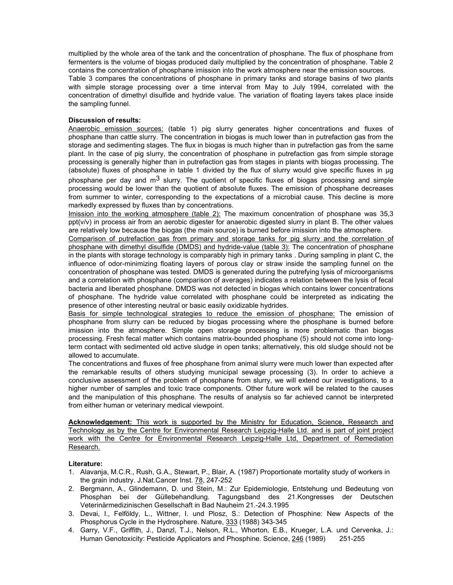multiplied by the whole area of the tank and the concentration of phosphane. The flux of phosphane from fermenters is the volume of biogas produced daily multiplied by the concentration of phosphane. Table 2 contains the concentration of phosphane imission into the work atmosphere near the emission sources.

Table 3 compares the concentrations of phosphane in primary tanks and storage basins of two plants with simple storage processing over a time interval from May to July 1994, correlated with the concentration of dimethyl disulfide and hydride value. The variation of floating layers takes place inside the sampling funnel.

### Discussion of results:

Anaerobic emission sources: (table 1) pig slurry generates higher concentrations and fluxes of phosphane than cattle slurry. The concentration in biogas is much lower than in putrefaction gas from the storage and sedimenting stages. The flux in biogas is much higher than in putrefaction gas from the same plant. In the case of pig slurry, the concentration of phosphane in putrefaction gas from simple storage processing is generally higher than in putrefaction gas from stages in plants with biogas processing. The (absolute) fluxes of phosphane in table 1 divided by the flux of slurry would give specific fluxes in µg phosphane per day and  $m<sup>3</sup>$  slurry. The quotient of specific fluxes of biogas processing and simple processing would be lower than the quotient of absolute fluxes. The emission of phosphane decreases from summer to winter, corresponding to the expectations of a microbial cause. This decline is more markedly expressed by fluxes than by concentrations.

Imission into the working atmosphere (table 2): The maximum concentration of phosphane was 35,3 ppt(v/v) in process air from an aerobic digester for anaerobic digested slurry in plant B. The other values are relatively low because the biogas (the main source) is burned before imission into the atmosphere.

Comparison of putrefaction gas from primary and storage tanks for pig slurry and the correlation of phosphane with dimethyl disulfide (DMDS) and hydride-value (table 3): The concentration of phosphane in the plants with storage technology is comparably high in primary tanks . During sampling in plant C, the influence of odor-minimizing floating layers of porous clay or straw inside the sampling funnel on the concentration of phosphane was tested. DMDS is generated during the putrefying lysis of microorganisms and a correlation with phosphane (comparison of averages) indicates a relation between the lysis of fecal bacteria and liberated phosphane. DMDS was not detected in biogas which contains lower concentrations of phosphane. The hydride value correlated with phosphane could be interpreted as indicating the presence of other interesting neutral or basic easily oxidizable hydrides.

Basis for simple technological strategies to reduce the emission of phosphane: The emission of phosphane from slurry can be reduced by biogas processing where the phosphane is burned before imission into the atmosphere. Simple open storage processing is more problematic than biogas processing. Fresh fecal matter which contains matrix-bounded phosphane (5) should not come into longterm contact with sedimented old active sludge in open tanks; alternatively, this old sludge should not be allowed to accumulate.

The concentrations and fluxes of free phosphane from animal slurry were much lower than expected after the remarkable results of others studying municipal sewage processing (3). In order to achieve a conclusive assessment of the problem of phosphane from slurry, we will extend our investigations, to a higher number of samples and toxic trace components. Other future work will be related to the causes and the manipulation of this phosphane. The results of analysis so far achieved cannot be interpreted from either human or veterinary medical viewpoint.

Acknowledgement: This work is supported by the Ministry for Education, Science, Research and Technology as by the Centre for Environmental Research Leipzig-Halle Ltd. and is part of joint project work with the Centre for Environmental Research Leipzig-Halle Ltd, Department of Remediation Research.

### Literature:

- 1. Alavanja, M.C.R., Rush, G.A., Stewart, P., Blair, A. (1987) Proportionate mortality study of workers in the grain industry. J.Nat.Cancer Inst. 78, 247-252
- 2. Bergmann, A., Glindemann, D. und Stein, M.: Zur Epidemiologie, Entstehung und Bedeutung von Phosphan bei der Güllebehandlung. Tagungsband des 21.Kongresses der Deutschen Veterinärmedizinischen Gesellschaft in Bad Nauheim 21.-24.3.1995
- 3. Devai, I., Felföldy, L., Wittner, I. und Plosz, S.: Detection of Phosphine: New Aspects of the Phosphorus Cycle in the Hydrosphere. Nature, 333 (1988) 343-345
- 4. Garry, V.F., Griffith, J., Danzl, T.J., Nelson, R.L., Whorton, E.B., Krueger, L.A. und Cervenka, J.: Human Genotoxicity: Pesticide Applicators and Phosphine. Science, 246 (1989) 251-255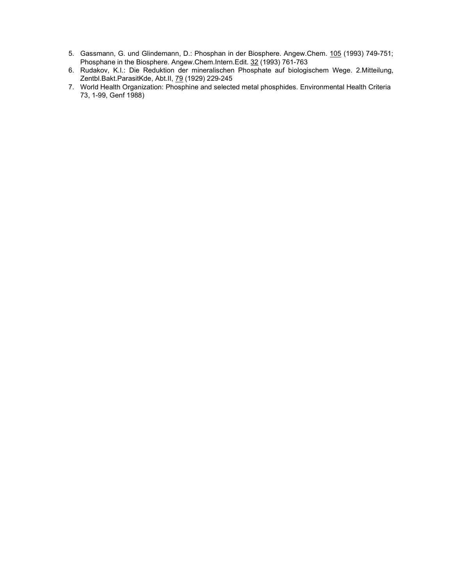- 5. Gassmann, G. und Glindemann, D.: Phosphan in der Biosphere. Angew.Chem. 105 (1993) 749-751; Phosphane in the Biosphere. Angew.Chem.Intern.Edit. 32 (1993) 761-763
- 6. Rudakov, K.I.: Die Reduktion der mineralischen Phosphate auf biologischem Wege. 2.Mitteilung, Zentbl.Bakt.ParasitKde, Abt.II, 79 (1929) 229-245
- 7. World Health Organization: Phosphine and selected metal phosphides. Environmental Health Criteria 73, 1-99, Genf 1988)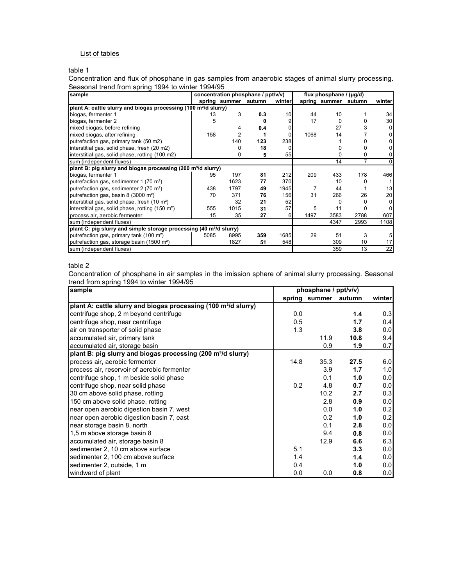# List of tables

## table 1

Concentration and flux of phosphane in gas samples from anaerobic stages of animal slurry processing. Seasonal trend from spring 1994 to winter 1994/95

| sample                                                                          | concentration phosphane / ppt/v/v) |                      |     |         | flux phosphane $/$ ( $\mu$ g/d) |               |                |         |
|---------------------------------------------------------------------------------|------------------------------------|----------------------|-----|---------|---------------------------------|---------------|----------------|---------|
|                                                                                 |                                    | spring summer autumn |     | winterl |                                 | spring summer | autumn         | winterl |
| plant A: cattle slurry and biogas processing (100 m <sup>3</sup> /d slurry)     |                                    |                      |     |         |                                 |               |                |         |
| biogas, fermenter 1                                                             | 13                                 | 3                    | 0.3 | 10      | 44                              | 10            |                | 34      |
| biogas, fermenter 2                                                             | 5                                  |                      | n   |         | 17                              | 0             | o              | 30      |
| mixed biogas, before refining                                                   |                                    | 4                    | 0.4 |         |                                 | 27            | 3              |         |
| mixed biogas, after refining                                                    | 158                                | 2                    |     |         | 1068                            | 14            |                |         |
| putrefaction gas, primary tank (50 m2)                                          |                                    | 140                  | 123 | 238     |                                 |               |                |         |
| interstitial gas, solid phase, fresh (20 m2)                                    |                                    | O                    | 18  |         |                                 | 0             | 0              |         |
| interstitial gas, solid phase, rotting (100 m2)                                 |                                    | 0                    | 5   | 55      |                                 | 0             | 0              |         |
| sum (independent fluxes)                                                        |                                    |                      |     |         |                                 | 14            | $\overline{7}$ |         |
| plant B: pig slurry and biogas processing (200 m <sup>3</sup> /d slurry)        |                                    |                      |     |         |                                 |               |                |         |
| biogas, fermenter 1                                                             | 95                                 | 197                  | 81  | 212     | 209                             | 433           | 178            | 466     |
| putrefaction gas, sedimenter 1 (70 m <sup>2</sup> )                             |                                    | 1623                 | 77  | 370     |                                 | 10            | Ω              |         |
| putrefaction gas, sedimenter 2 (70 m <sup>2</sup> )                             | 438                                | 1797                 | 49  | 1945    | 7                               | 44            |                | 13      |
| putrefaction gas, basin 8 (3000 m <sup>2</sup> )                                | 70                                 | 371                  | 76  | 156     | 31                              | 266           | 26             | 20      |
| interstitial gas, solid phase, fresh (10 m <sup>2</sup> )                       |                                    | 32                   | 21  | 52      |                                 | 0             | 0              | O       |
| interstitial gas, solid phase, rotting (150 m <sup>2</sup> )                    | 555                                | 1015                 | 31  | 57      | 5                               | 11            |                |         |
| process air, aerobic fermenter                                                  | 15                                 | 35                   | 27  | 6       | 1497                            | 3583          | 2788           | 607     |
| sum (independent fluxes)                                                        |                                    |                      |     |         |                                 | 4347          | 2993           | 1108    |
| plant C: pig slurry and simple storage processing (40 m <sup>3</sup> /d slurry) |                                    |                      |     |         |                                 |               |                |         |
| putrefaction gas, primary tank (100 m <sup>2</sup> )                            | 5085                               | 8995                 | 359 | 1685    | 29                              | 51            | 3              |         |
| putrefaction gas, storage basin (1500 m <sup>2</sup> )                          |                                    | 1827                 | 51  | 548     |                                 | 309           | 10             | 17      |
| sum (independent fluxes)                                                        |                                    |                      |     |         |                                 | 359           | 13             | 22      |

#### table 2

Concentration of phosphane in air samples in the imission sphere of animal slurry processing. Seasonal trend from spring 1994 to winter 1994/95

| sample                                                                      | phosphane / ppt/v/v) |               |        |        |  |
|-----------------------------------------------------------------------------|----------------------|---------------|--------|--------|--|
|                                                                             |                      | spring summer | autumn | winter |  |
| plant A: cattle slurry and biogas processing (100 m <sup>3</sup> /d slurry) |                      |               |        |        |  |
| centrifuge shop, 2 m beyond centrifuge                                      | 0.0                  |               | 1.4    | 0.3    |  |
| centrifuge shop, near centrifuge                                            | 0.5                  |               | 1.7    | 0.4    |  |
| air on transporter of solid phase                                           | 1.3                  |               | 3.8    | 0.0    |  |
| accumulated air, primary tank                                               |                      | 11.9          | 10.8   | 9.4    |  |
| accumulated air, storage basin                                              |                      | 0.9           | 1.9    | 0.7    |  |
| plant B: pig slurry and biogas processing (200 m <sup>3</sup> /d slurry)    |                      |               |        |        |  |
| process air, aerobic fermenter                                              | 14.8                 | 35.3          | 27.5   | 6.0    |  |
| process air, reservoir of aerobic fermenter                                 |                      | 3.9           | 1.7    | 1.0    |  |
| centrifuge shop, 1 m beside solid phase                                     |                      | 0.1           | 1.0    | 0.01   |  |
| centrifuge shop, near solid phase                                           | 0.2                  | 4.8           | 0.7    | 0.0    |  |
| 30 cm above solid phase, rotting                                            |                      | 10.2          | 2.7    | 0.3    |  |
| 150 cm above solid phase, rotting                                           |                      | 2.8           | 0.9    | 0.0    |  |
| near open aerobic digestion basin 7, west                                   |                      | 0.0           | 1.0    | 0.2    |  |
| near open aerobic digestion basin 7, east                                   |                      | 0.2           | 1.0    | 0.2    |  |
| near storage basin 8, north                                                 |                      | 0.1           | 2.8    | 0.0    |  |
| 1,5 m above storage basin 8                                                 |                      | 9.4           | 0.8    | 0.0    |  |
| accumulated air, storage basin 8                                            |                      | 12.9          | 6.6    | 6.3    |  |
| sedimenter 2, 10 cm above surface                                           | 5.1                  |               | 3.3    | 0.0    |  |
| sedimenter 2, 100 cm above surface                                          | 1.4                  |               | 1.4    | 0.0    |  |
| sedimenter 2, outside, 1 m                                                  | 0.4                  |               | 1.0    | 0.0    |  |
| windward of plant                                                           | 0.0                  | 0.0           | 0.8    | 0.0    |  |